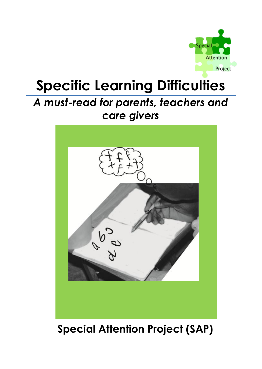

# **Specific Learning Difficulties**

## *A must-read for parents, teachers and care givers*



## **Special Attention Project (SAP)**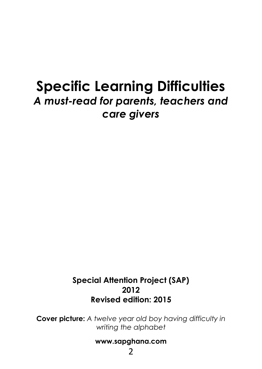## **Specific Learning Difficulties** *A must-read for parents, teachers and care givers*

#### **Special Attention Project (SAP) 2012 Revised edition: 2015**

**Cover picture:** *A twelve year old boy having difficulty in writing the alphabet*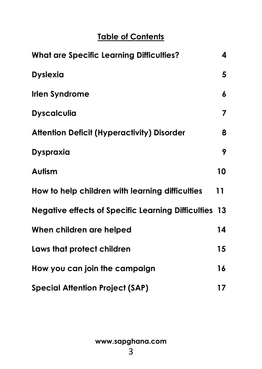### **Table of Contents**

| <b>What are Specific Learning Difficulties?</b>              | 4  |
|--------------------------------------------------------------|----|
| <b>Dyslexia</b>                                              | 5  |
| <b>Irlen Syndrome</b>                                        | 6  |
| <b>Dyscalculia</b>                                           | 7  |
| <b>Attention Deficit (Hyperactivity) Disorder</b>            | 8  |
| Dyspraxia                                                    | 9  |
| Autism                                                       | 10 |
| How to help children with learning difficulties              | 11 |
| <b>Negative effects of Specific Learning Difficulties 13</b> |    |
| When children are helped                                     | 14 |
| Laws that protect children                                   | 15 |
| How you can join the campaign                                | 16 |
| <b>Special Attention Project (SAP)</b>                       | 17 |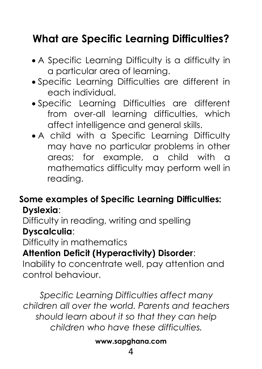## **What are Specific Learning Difficulties?**

- A Specific Learning Difficulty is a difficulty in a particular area of learning.
- Specific Learning Difficulties are different in each individual.
- Specific Learning Difficulties are different from over-all learning difficulties, which affect intelligence and general skills.
- A child with a Specific Learning Difficulty may have no particular problems in other areas; for example, a child with a mathematics difficulty may perform well in reading.

### **Some examples of Specific Learning Difficulties: Dyslexia**:

Difficulty in reading, writing and spelling **Dyscalculia**:

Difficulty in mathematics

### **Attention Deficit (Hyperactivity) Disorder**:

Inability to concentrate well, pay attention and control behaviour.

*Specific Learning Difficulties affect many children all over the world. Parents and teachers should learn about it so that they can help children who have these difficulties.*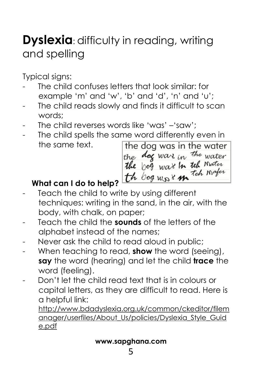## **Dyslexia**: difficulty in reading, writing and spelling

Typical signs:

- The child confuses letters that look similar: for example 'm' and 'w', 'b' and 'd', 'n' and 'u';
- The child reads slowly and finds it difficult to scan words;
- The child reverses words like 'was' -'saw':
- The child spells the same word differently even in the same text. the dog was in the water

the dag wars in the water<br>**the** bog wars **in teh** Mater th bog was in the mater

### **What can I do to help?**

- Teach the child to write by using different techniques: writing in the sand, in the air, with the body, with chalk, on paper;
- Teach the child the **sounds** of the letters of the alphabet instead of the names;
- Never ask the child to read aloud in public;
- When teaching to read, **show** the word (seeing), **say** the word (hearing) and let the child **trace** the word (feeling).
- Don't let the child read text that is in colours or capital letters, as they are difficult to read. Here is a helpful link:

http://www.bdadyslexia.org.uk/common/ckeditor/filem anager/userfiles/About\_Us/policies/Dyslexia\_Style\_Guid e.pdf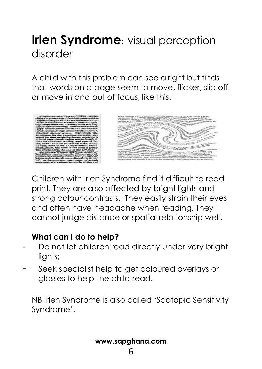## **Irlen Syndrome**: visual perception disorder

A child with this problem can see alright but finds that words on a page seem to move, flicker, slip off or move in and out of focus, like this:





Children with Irlen Syndrome find it difficult to read print. They are also affected by bright lights and strong colour contrasts. They easily strain their eyes and often have headache when reading. They cannot judge distance or spatial relationship well.

#### **What can I do to help?**

- Do not let children read directly under very bright lights;
- Seek specialist help to get coloured overlays or glasses to help the child read.

NB Irlen Syndrome is also called 'Scotopic Sensitivity Syndrome'.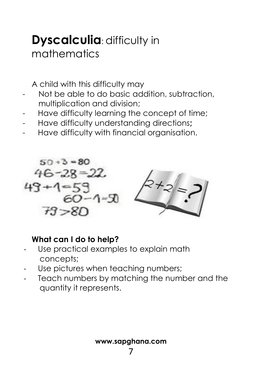## **Dyscalculia: difficulty in** mathematics

A child with this difficulty may

- Not be able to do basic addition, subtraction, multiplication and division;
- Have difficulty learning the concept of time;
- Have difficulty understanding directions**;**
- Have difficulty with financial organisation.



#### **What can I do to help?**

- Use practical examples to explain math concepts;
- Use pictures when teaching numbers;
- Teach numbers by matching the number and the quantity it represents.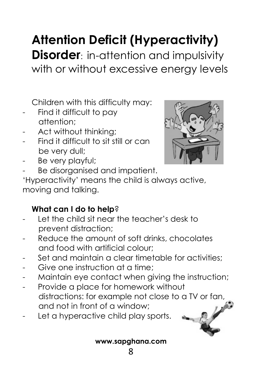# **Attention Deficit (Hyperactivity)**

**Disorder:** in-attention and impulsivity with or without excessive energy levels

Children with this difficulty may:

- Find it difficult to pay attention;
- Act without thinking:
- Find it difficult to sit still or can be very dull;
- Be very playful;
- Be disorganised and impatient.

'Hyperactivity' means the child is always active, moving and talking.

### **What can I do to help**?

- Let the child sit near the teacher's desk to prevent distraction;
- Reduce the amount of soft drinks, chocolates and food with artificial colour;
- Set and maintain a clear timetable for activities;
- Give one instruction at a time:
- Maintain eye contact when giving the instruction;
- Provide a place for homework without distractions: for example not close to a TV or fan, and not in front of a window;
- Let a hyperactive child play sports.



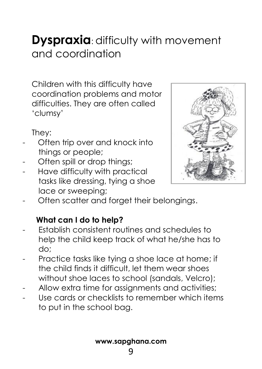## **Dyspraxia**: difficulty with movement and coordination

Children with this difficulty have coordination problems and motor difficulties. They are often called 'clumsy'

They:

- Often trip over and knock into things or people;
- Often spill or drop things;
- Have difficulty with practical tasks like dressing, tying a shoe lace or sweeping;



Often scatter and forget their belongings.

### **What can I do to help?**

- Establish consistent routines and schedules to help the child keep track of what he/she has to do;
- Practice tasks like tying a shoe lace at home; if the child finds it difficult, let them wear shoes without shoe laces to school (sandals, Velcro);
- Allow extra time for assignments and activities;
- Use cards or checklists to remember which items to put in the school bag.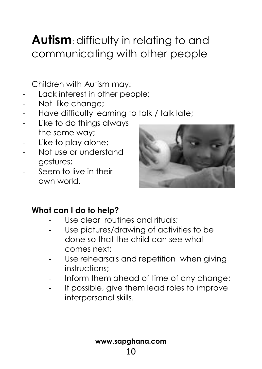## **Autism**: difficulty in relating to and communicating with other people

Children with Autism may:

- Lack interest in other people:
- Not like change:
- Have difficulty learning to talk / talk late;
- Like to do things always the same way;
- Like to play alone;
- Not use or understand gestures;
- Seem to live in their own world.



### **What can I do to help?**

- Use clear routines and rituals;
- Use pictures/drawing of activities to be done so that the child can see what comes next;
- Use rehearsals and repetition when giving instructions;
- Inform them ahead of time of any change;
- If possible, give them lead roles to improve interpersonal skills.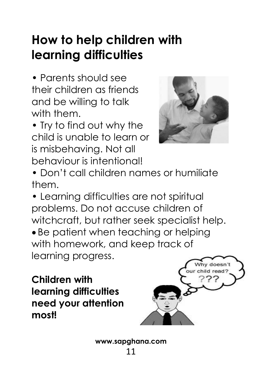# **How to help children with learning difficulties**

**•** Parents should see their children as friends and be willing to talk with them.

**•** Try to find out why the child is unable to learn or is misbehaving. Not all behaviour is intentional!



**•** Don't call children names or humiliate them.

**•** Learning difficulties are not spiritual problems. Do not accuse children of witchcraft, but rather seek specialist help. • Be patient when teaching or helping with homework, and keep track of learning progress.

**Children with learning difficulties need your attention most!**

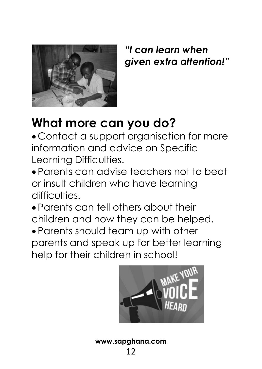

*"I can learn when given extra attention!"*

# **What more can you do?**

 Contact a support organisation for more information and advice on Specific Learning Difficulties.

 Parents can advise teachers not to beat or insult children who have learning difficulties.

 Parents can tell others about their children and how they can be helped.

 Parents should team up with other parents and speak up for better learning help for their children in school!

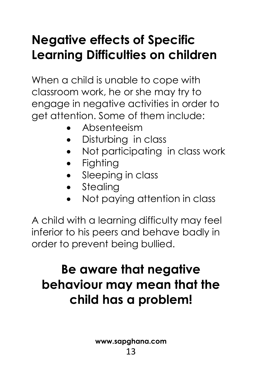# **Negative effects of Specific Learning Difficulties on children**

When a child is unable to cope with classroom work, he or she may try to engage in negative activities in order to get attention. Some of them include:

- Absenteeism
- Disturbing in class
- Not participating in class work
- Fighting
- Sleeping in class
- Stealing
- Not paying attention in class

A child with a learning difficulty may feel inferior to his peers and behave badly in order to prevent being bullied.

# **Be aware that negative behaviour may mean that the child has a problem!**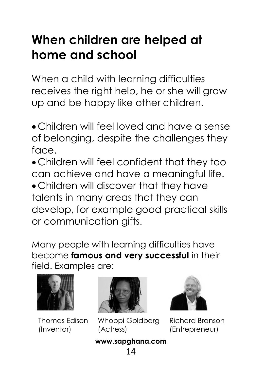# **When children are helped at home and school**

When a child with learning difficulties receives the right help, he or she will grow up and be happy like other children.

- Children will feel loved and have a sense of belonging, despite the challenges they face.
- Children will feel confident that they too can achieve and have a meaningful life.
- Children will discover that they have talents in many areas that they can develop, for example good practical skills or communication gifts.

Many people with learning difficulties have become **famous and very successful** in their field. Examples are:



Thomas Edison (Inventor)



Whoopi Goldberg (Actress)



Richard Branson (Entrepreneur)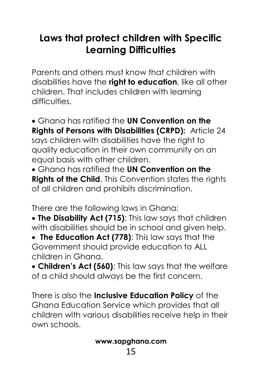## **Laws that protect children with Specific Learning Difficulties**

Parents and others must know that children with disabilities have the **right to education**, like all other children. That includes children with learning difficulties.

 Ghana has ratified the **UN Convention on the Rights of Persons with Disabilities (CRPD):** Article 24 says children with disabilities have the right to quality education in their own community on an equal basis with other children.

 Ghana has ratified the **UN Convention on the Rights of the Child**. This Convention states the rights of all children and prohibits discrimination.

There are the following laws in Ghana:

 **The Disability Act (715)**: This law says that children with disabilities should be in school and given help.

 **The Education Act (778)**: This law says that the Government should provide education to ALL children in Ghana.

 **Children's Act (560)**: This law says that the welfare of a child should always be the first concern.

There is also the **Inclusive Education Policy** of the Ghana Education Service which provides that all children with various disabilities receive help in their own schools.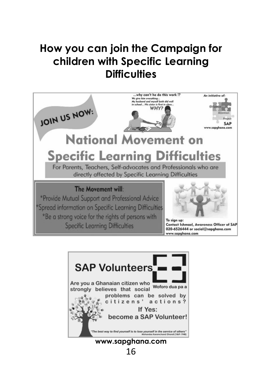## **How you can join the Campaign for children with Specific Learning Difficulties**



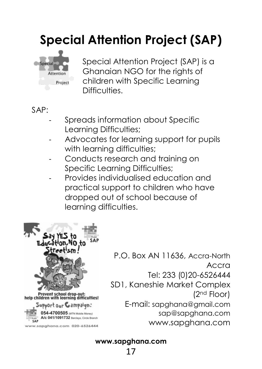# **Special Attention Project (SAP)**



Special Attention Project (SAP) is a Ghanaian NGO for the rights of children with Specific Learning Difficulties.

 $SAP$ 

- Spreads information about Specific Learning Difficulties;
- Advocates for learning support for pupils with learning difficulties;
- Conducts research and training on Specific Learning Difficulties;
- Provides individualised education and practical support to children who have dropped out of school because of learning difficulties.



www.sapghana.com 020-6526444

P.O. Box AN 11636, Accra-North Accra Tel: 233 (0)20-6526444 SD1, Kaneshie Market Complex (2 nd Floor) E-mail: sapghana@gmail.com sap@sapghana.com www.sapghana.com